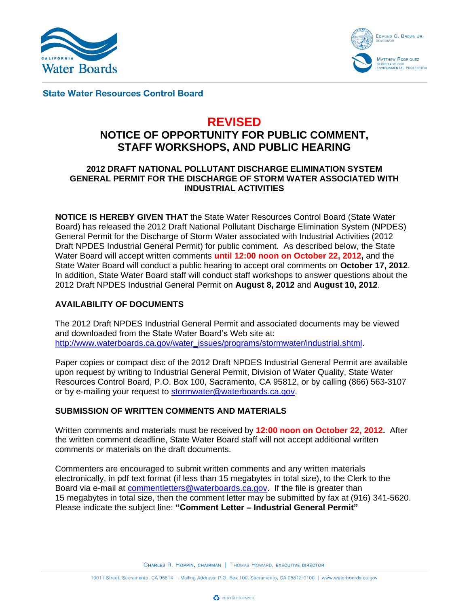



**State Water Resources Control Board** 

# **REVISED**

## **NOTICE OF OPPORTUNITY FOR PUBLIC COMMENT, STAFF WORKSHOPS, AND PUBLIC HEARING**

## **2012 DRAFT NATIONAL POLLUTANT DISCHARGE ELIMINATION SYSTEM GENERAL PERMIT FOR THE DISCHARGE OF STORM WATER ASSOCIATED WITH INDUSTRIAL ACTIVITIES**

**NOTICE IS HEREBY GIVEN THAT** the State Water Resources Control Board (State Water Board) has released the 2012 Draft National Pollutant Discharge Elimination System (NPDES) General Permit for the Discharge of Storm Water associated with Industrial Activities (2012 Draft NPDES Industrial General Permit) for public comment. As described below, the State Water Board will accept written comments **until 12:00 noon on October 22, 2012,** and the State Water Board will conduct a public hearing to accept oral comments on **October 17, 2012**. In addition, State Water Board staff will conduct staff workshops to answer questions about the 2012 Draft NPDES Industrial General Permit on **August 8, 2012** and **August 10, 2012**.

## **AVAILABILITY OF DOCUMENTS**

The 2012 Draft NPDES Industrial General Permit and associated documents may be viewed and downloaded from the State Water Board's Web site at: [http://www.waterboards.ca.gov/water\\_issues/programs/stormwater/industrial.shtml.](http://www.waterboards.ca.gov/water_issues/programs/stormwater/industrial.shtml)

Paper copies or compact disc of the 2012 Draft NPDES Industrial General Permit are available upon request by writing to Industrial General Permit, Division of Water Quality, State Water Resources Control Board, P.O. Box 100, Sacramento, CA 95812, or by calling (866) 563-3107 or by e-mailing your request to [stormwater@waterboards.ca.gov.](mailto:stormwater@waterboards.ca.gov)

## **SUBMISSION OF WRITTEN COMMENTS AND MATERIALS**

Written comments and materials must be received by **12:00 noon on October 22, 2012.** After the written comment deadline, State Water Board staff will not accept additional written comments or materials on the draft documents.

Commenters are encouraged to submit written comments and any written materials electronically, in pdf text format (if less than 15 megabytes in total size), to the Clerk to the Board via e-mail at [commentletters@waterboards.ca.gov.](mailto:commentletters@waterboards.ca.gov) If the file is greater than 15 megabytes in total size, then the comment letter may be submitted by fax at (916) 341-5620. Please indicate the subject line: **"Comment Letter – Industrial General Permit"**

CHARLES R. HOPPIN, CHAIRMAN | THOMAS HOWARD, EXECUTIVE DIRECTOR

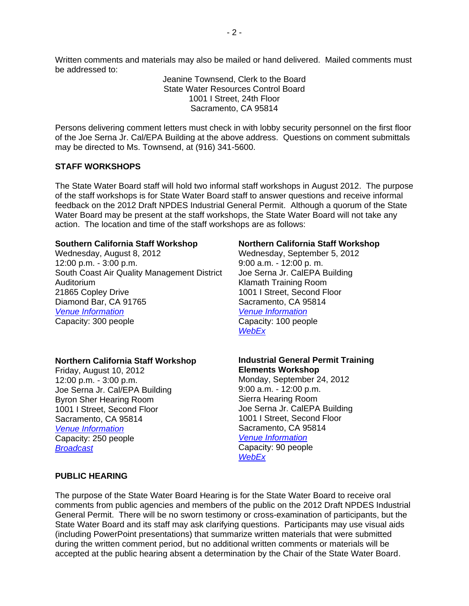Written comments and materials may also be mailed or hand delivered. Mailed comments must be addressed to:

> Jeanine Townsend, Clerk to the Board State Water Resources Control Board 1001 I Street, 24th Floor Sacramento, CA 95814

Persons delivering comment letters must check in with lobby security personnel on the first floor of the Joe Serna Jr. Cal/EPA Building at the above address. Questions on comment submittals may be directed to Ms. Townsend, at (916) 341-5600.

#### **STAFF WORKSHOPS**

The State Water Board staff will hold two informal staff workshops in August 2012. The purpose of the staff workshops is for State Water Board staff to answer questions and receive informal feedback on the 2012 Draft NPDES Industrial General Permit. Although a quorum of the State Water Board may be present at the staff workshops, the State Water Board will not take any action. The location and time of the staff workshops are as follows:

#### **Southern California Staff Workshop**

Wednesday, August 8, 2012 12:00 p.m. - 3:00 p.m. South Coast Air Quality Management District Auditorium 21865 Copley Drive Diamond Bar, CA 91765 *[Venue Information](http://www.aqmd.gov/calendar/calev.html)* Capacity: 300 people

#### **Northern California Staff Workshop**

Friday, August 10, 2012 12:00 p.m. - 3:00 p.m. Joe Serna Jr. Cal/EPA Building Byron Sher Hearing Room 1001 I Street, Second Floor Sacramento, CA 95814 *[Venue Information](http://www.calepa.ca.gov/EPAbldg/default.htm)* Capacity: 250 people *[Broadcast](http://www.calepa.ca.gov/broadcast/)*

#### **Northern California Staff Workshop**

Wednesday, September 5, 2012 9:00 a.m. - 12:00 p. m. Joe Serna Jr. CalEPA Building Klamath Training Room 1001 I Street, Second Floor Sacramento, CA 95814 *[Venue Information](http://www.calepa.ca.gov/EPAbldg/default.htm)* Capacity: 100 people *[WebEx](https://waterboards.webex.com/mw0306ld/mywebex/default.do?nomenu=true&siteurl=waterboards&service=6&rnd=0.4083493224567817&main_url=https%3A%2F%2Fwaterboards.webex.com%2Fec0605ld%2Feventcenter%2Fevent%2FeventAction.do%3FtheAction%3Ddetail%26confViewID%3D1074168990%26%26%26%26siteurl%3Dwaterboards)*

### **Industrial General Permit Training Elements Workshop**

Monday, September 24, 2012 9:00 a.m. - 12:00 p.m. Sierra Hearing Room Joe Serna Jr. CalEPA Building 1001 I Street, Second Floor Sacramento, CA 95814 *[Venue Information](http://www.calepa.ca.gov/EPAbldg/default.htm)* Capacity: 90 people *[WebEx](https://waterboards.webex.com/mw0306ld/mywebex/default.do?nomenu=true&siteurl=waterboards&service=6&rnd=0.8744448379899219&main_url=https%3A%2F%2Fwaterboards.webex.com%2Fec0605ld%2Feventcenter%2Fevent%2FeventAction.do%3FtheAction%3Ddetail%26confViewID%3D1074169123%26%26%26%26siteurl%3Dwaterboards)*

#### **PUBLIC HEARING**

The purpose of the State Water Board Hearing is for the State Water Board to receive oral comments from public agencies and members of the public on the 2012 Draft NPDES Industrial General Permit. There will be no sworn testimony or cross-examination of participants, but the State Water Board and its staff may ask clarifying questions. Participants may use visual aids (including PowerPoint presentations) that summarize written materials that were submitted during the written comment period, but no additional written comments or materials will be accepted at the public hearing absent a determination by the Chair of the State Water Board.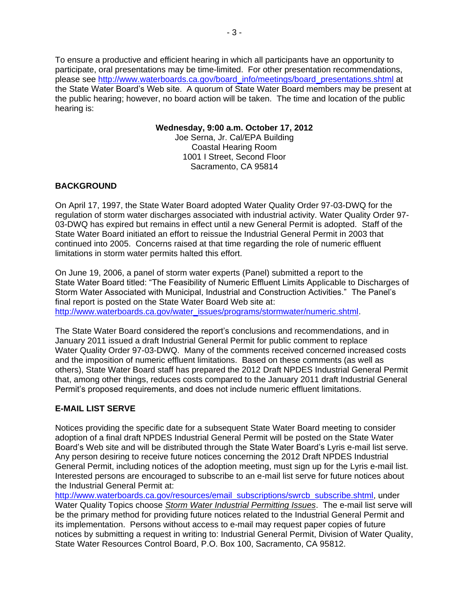To ensure a productive and efficient hearing in which all participants have an opportunity to participate, oral presentations may be time-limited. For other presentation recommendations, please see [http://www.waterboards.ca.gov/board\\_info/meetings/board\\_presentations.shtml](http://www.waterboards.ca.gov/board_info/meetings/board_presentations.shtml) at the State Water Board's Web site. A quorum of State Water Board members may be present at the public hearing; however, no board action will be taken. The time and location of the public hearing is:

#### **Wednesday, 9:00 a.m. October 17, 2012**

Joe Serna, Jr. Cal/EPA Building Coastal Hearing Room 1001 I Street, Second Floor Sacramento, CA 95814

## **BACKGROUND**

On April 17, 1997, the State Water Board adopted Water Quality Order 97-03-DWQ for the regulation of storm water discharges associated with industrial activity. Water Quality Order 97- 03-DWQ has expired but remains in effect until a new General Permit is adopted. Staff of the State Water Board initiated an effort to reissue the Industrial General Permit in 2003 that continued into 2005. Concerns raised at that time regarding the role of numeric effluent limitations in storm water permits halted this effort.

On June 19, 2006, a panel of storm water experts (Panel) submitted a report to the State Water Board titled: "The Feasibility of Numeric Effluent Limits Applicable to Discharges of Storm Water Associated with Municipal, Industrial and Construction Activities." The Panel's final report is posted on the State Water Board Web site at: [http://www.waterboards.ca.gov/water\\_issues/programs/stormwater/numeric.shtml.](http://www.waterboards.ca.gov/water_issues/programs/stormwater/numeric.shtml)

The State Water Board considered the report's conclusions and recommendations, and in January 2011 issued a draft Industrial General Permit for public comment to replace Water Quality Order 97-03-DWQ. Many of the comments received concerned increased costs and the imposition of numeric effluent limitations. Based on these comments (as well as others), State Water Board staff has prepared the 2012 Draft NPDES Industrial General Permit that, among other things, reduces costs compared to the January 2011 draft Industrial General Permit's proposed requirements, and does not include numeric effluent limitations.

## **E-MAIL LIST SERVE**

Notices providing the specific date for a subsequent State Water Board meeting to consider adoption of a final draft NPDES Industrial General Permit will be posted on the State Water Board's Web site and will be distributed through the State Water Board's Lyris e-mail list serve. Any person desiring to receive future notices concerning the 2012 Draft NPDES Industrial General Permit, including notices of the adoption meeting, must sign up for the Lyris e-mail list. Interested persons are encouraged to subscribe to an e-mail list serve for future notices about the Industrial General Permit at:

[http://www.waterboards.ca.gov/resources/email\\_subscriptions/swrcb\\_subscribe.shtml,](http://www.waterboards.ca.gov/resources/email_subscriptions/swrcb_subscribe.shtml) under Water Quality Topics choose *Storm Water Industrial Permitting Issues*. The e-mail list serve will be the primary method for providing future notices related to the Industrial General Permit and its implementation. Persons without access to e-mail may request paper copies of future notices by submitting a request in writing to: Industrial General Permit, Division of Water Quality, State Water Resources Control Board, P.O. Box 100, Sacramento, CA 95812.